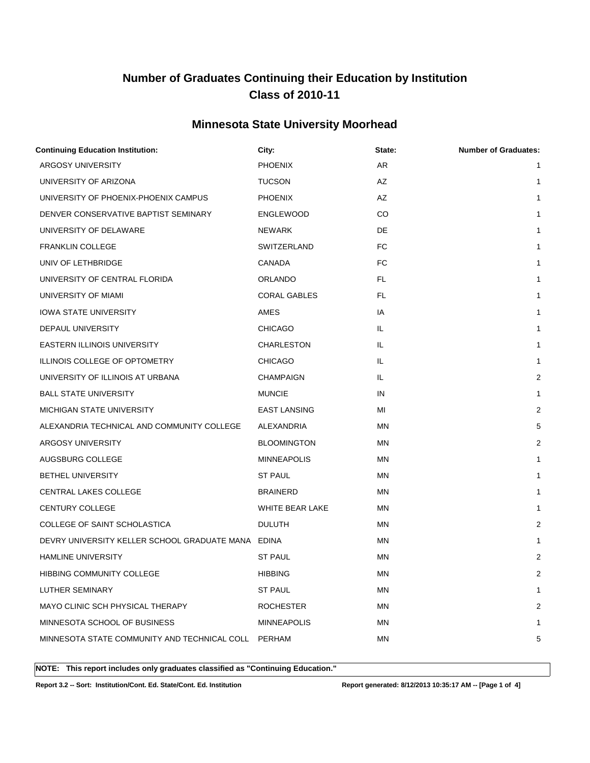### **Minnesota State University Moorhead**

| <b>Continuing Education Institution:</b>           | City:               | State:    | <b>Number of Graduates:</b> |
|----------------------------------------------------|---------------------|-----------|-----------------------------|
| ARGOSY UNIVERSITY                                  | <b>PHOENIX</b>      | AR        | $\mathbf{1}$                |
| UNIVERSITY OF ARIZONA                              | <b>TUCSON</b>       | AZ        | $\mathbf{1}$                |
| UNIVERSITY OF PHOENIX-PHOENIX CAMPUS               | <b>PHOENIX</b>      | AZ        | $\mathbf{1}$                |
| DENVER CONSERVATIVE BAPTIST SEMINARY               | <b>ENGLEWOOD</b>    | CO        | 1                           |
| UNIVERSITY OF DELAWARE                             | NEWARK              | DE        | $\mathbf{1}$                |
| <b>FRANKLIN COLLEGE</b>                            | SWITZERLAND         | FC        | $\mathbf{1}$                |
| UNIV OF LETHBRIDGE                                 | CANADA              | <b>FC</b> | $\mathbf{1}$                |
| UNIVERSITY OF CENTRAL FLORIDA                      | ORLANDO             | FL.       | $\mathbf{1}$                |
| UNIVERSITY OF MIAMI                                | <b>CORAL GABLES</b> | FL.       | $\mathbf{1}$                |
| <b>IOWA STATE UNIVERSITY</b>                       | AMES                | IA        | $\mathbf{1}$                |
| DEPAUL UNIVERSITY                                  | <b>CHICAGO</b>      | IL.       | $\mathbf{1}$                |
| <b>EASTERN ILLINOIS UNIVERSITY</b>                 | CHARLESTON          | IL.       | $\mathbf{1}$                |
| ILLINOIS COLLEGE OF OPTOMETRY                      | <b>CHICAGO</b>      | IL.       | $\mathbf{1}$                |
| UNIVERSITY OF ILLINOIS AT URBANA                   | CHAMPAIGN           | IL.       | $\overline{c}$              |
| <b>BALL STATE UNIVERSITY</b>                       | <b>MUNCIE</b>       | IN        | $\mathbf{1}$                |
| MICHIGAN STATE UNIVERSITY                          | <b>EAST LANSING</b> | MI        | 2                           |
| ALEXANDRIA TECHNICAL AND COMMUNITY COLLEGE         | ALEXANDRIA          | MN        | 5                           |
| ARGOSY UNIVERSITY                                  | <b>BLOOMINGTON</b>  | MN        | $\overline{2}$              |
| AUGSBURG COLLEGE                                   | <b>MINNEAPOLIS</b>  | <b>MN</b> | 1                           |
| BETHEL UNIVERSITY                                  | <b>ST PAUL</b>      | MN        | $\mathbf{1}$                |
| <b>CENTRAL LAKES COLLEGE</b>                       | <b>BRAINERD</b>     | <b>MN</b> | 1                           |
| CENTURY COLLEGE                                    | WHITE BEAR LAKE     | MN        | $\mathbf{1}$                |
| COLLEGE OF SAINT SCHOLASTICA                       | <b>DULUTH</b>       | <b>MN</b> | $\overline{2}$              |
| DEVRY UNIVERSITY KELLER SCHOOL GRADUATE MANA EDINA |                     | <b>MN</b> | 1                           |
| <b>HAMLINE UNIVERSITY</b>                          | <b>ST PAUL</b>      | MN        | $\overline{c}$              |
| <b>HIBBING COMMUNITY COLLEGE</b>                   | <b>HIBBING</b>      | MN        | 2                           |
| LUTHER SEMINARY                                    | <b>ST PAUL</b>      | <b>MN</b> | 1                           |
| MAYO CLINIC SCH PHYSICAL THERAPY                   | <b>ROCHESTER</b>    | MN        | 2                           |
| MINNESOTA SCHOOL OF BUSINESS                       | <b>MINNEAPOLIS</b>  | ΜN        | 1                           |
| MINNESOTA STATE COMMUNITY AND TECHNICAL COLL       | PERHAM              | ΜN        | 5                           |
|                                                    |                     |           |                             |

**NOTE: This report includes only graduates classified as "Continuing Education."** 

**Report 3.2 -- Sort: Institution/Cont. Ed. State/Cont. Ed. Institution Report generated: 8/12/2013 10:35:17 AM -- [Page 1 of 4]**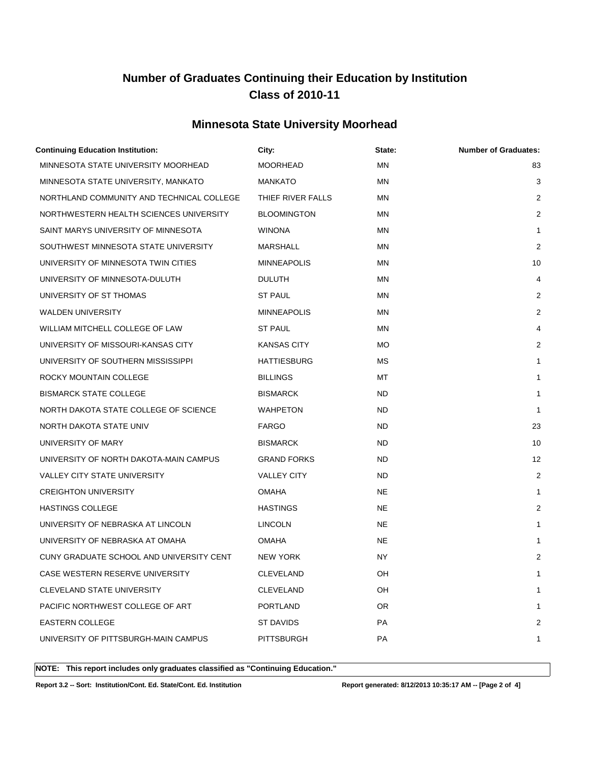### **Minnesota State University Moorhead**

| <b>Continuing Education Institution:</b>  | City:              | State:    | <b>Number of Graduates:</b> |
|-------------------------------------------|--------------------|-----------|-----------------------------|
| MINNESOTA STATE UNIVERSITY MOORHEAD       | <b>MOORHEAD</b>    | <b>MN</b> | 83                          |
| MINNESOTA STATE UNIVERSITY, MANKATO       | <b>MANKATO</b>     | <b>MN</b> | 3                           |
| NORTHLAND COMMUNITY AND TECHNICAL COLLEGE | THIEF RIVER FALLS  | ΜN        | 2                           |
| NORTHWESTERN HEALTH SCIENCES UNIVERSITY   | <b>BLOOMINGTON</b> | ΜN        | 2                           |
| SAINT MARYS UNIVERSITY OF MINNESOTA       | <b>WINONA</b>      | ΜN        | $\mathbf{1}$                |
| SOUTHWEST MINNESOTA STATE UNIVERSITY      | MARSHALL           | ΜN        | 2                           |
| UNIVERSITY OF MINNESOTA TWIN CITIES       | <b>MINNEAPOLIS</b> | ΜN        | 10                          |
| UNIVERSITY OF MINNESOTA-DULUTH            | <b>DULUTH</b>      | ΜN        | 4                           |
| UNIVERSITY OF ST THOMAS                   | <b>ST PAUL</b>     | ΜN        | 2                           |
| <b>WALDEN UNIVERSITY</b>                  | <b>MINNEAPOLIS</b> | ΜN        | 2                           |
| WILLIAM MITCHELL COLLEGE OF LAW           | ST PAUL            | <b>MN</b> | 4                           |
| UNIVERSITY OF MISSOURI-KANSAS CITY        | KANSAS CITY        | МO        | 2                           |
| UNIVERSITY OF SOUTHERN MISSISSIPPI        | <b>HATTIESBURG</b> | МS        | $\mathbf{1}$                |
| ROCKY MOUNTAIN COLLEGE                    | <b>BILLINGS</b>    | МT        | 1                           |
| <b>BISMARCK STATE COLLEGE</b>             | <b>BISMARCK</b>    | ND.       | $\mathbf{1}$                |
| NORTH DAKOTA STATE COLLEGE OF SCIENCE     | WAHPETON           | ND.       | $\mathbf{1}$                |
| NORTH DAKOTA STATE UNIV                   | <b>FARGO</b>       | ND.       | 23                          |
| UNIVERSITY OF MARY                        | <b>BISMARCK</b>    | ND.       | 10                          |
| UNIVERSITY OF NORTH DAKOTA-MAIN CAMPUS    | <b>GRAND FORKS</b> | ND.       | 12                          |
| <b>VALLEY CITY STATE UNIVERSITY</b>       | <b>VALLEY CITY</b> | ND.       | 2                           |
| <b>CREIGHTON UNIVERSITY</b>               | <b>OMAHA</b>       | NE.       | 1                           |
| <b>HASTINGS COLLEGE</b>                   | <b>HASTINGS</b>    | <b>NE</b> | 2                           |
| UNIVERSITY OF NEBRASKA AT LINCOLN         | <b>LINCOLN</b>     | NE        | 1                           |
| UNIVERSITY OF NEBRASKA AT OMAHA           | <b>OMAHA</b>       | NE.       | 1                           |
| CUNY GRADUATE SCHOOL AND UNIVERSITY CENT  | <b>NEW YORK</b>    | NY        | $\overline{2}$              |
| CASE WESTERN RESERVE UNIVERSITY           | CLEVELAND          | OH        | 1                           |
| CLEVELAND STATE UNIVERSITY                | CLEVELAND          | OH        | 1                           |
| PACIFIC NORTHWEST COLLEGE OF ART          | <b>PORTLAND</b>    | OR        | 1                           |
| EASTERN COLLEGE                           | ST DAVIDS          | PA        | 2                           |
| UNIVERSITY OF PITTSBURGH-MAIN CAMPUS      | PITTSBURGH         | PA        | 1                           |
|                                           |                    |           |                             |

**NOTE: This report includes only graduates classified as "Continuing Education."** 

**Report 3.2 -- Sort: Institution/Cont. Ed. State/Cont. Ed. Institution Report generated: 8/12/2013 10:35:17 AM -- [Page 2 of 4]**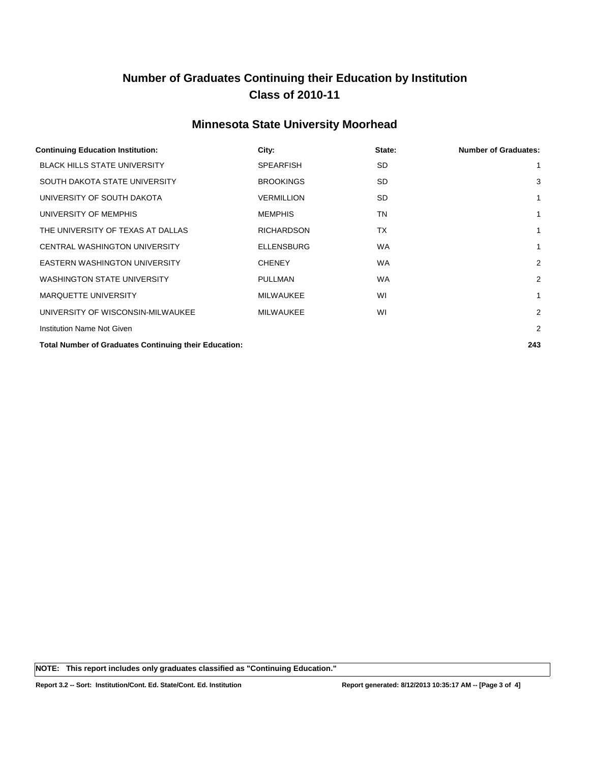### **Minnesota State University Moorhead**

| <b>Continuing Education Institution:</b>                     | City:             | State:    | <b>Number of Graduates:</b> |
|--------------------------------------------------------------|-------------------|-----------|-----------------------------|
| <b>BLACK HILLS STATE UNIVERSITY</b>                          | <b>SPEARFISH</b>  | SD.       | 1                           |
| SOUTH DAKOTA STATE UNIVERSITY                                | <b>BROOKINGS</b>  | SD.       | 3                           |
| UNIVERSITY OF SOUTH DAKOTA                                   | <b>VERMILLION</b> | SD.       | $\mathbf{1}$                |
| UNIVERSITY OF MEMPHIS                                        | <b>MEMPHIS</b>    | TN        | $\mathbf{1}$                |
| THE UNIVERSITY OF TEXAS AT DALLAS                            | <b>RICHARDSON</b> | TX        | 1                           |
| CENTRAL WASHINGTON UNIVERSITY                                | <b>ELLENSBURG</b> | <b>WA</b> | 1                           |
| <b>EASTERN WASHINGTON UNIVERSITY</b>                         | <b>CHENEY</b>     | <b>WA</b> | $\overline{2}$              |
| <b>WASHINGTON STATE UNIVERSITY</b>                           | <b>PULLMAN</b>    | <b>WA</b> | $\overline{2}$              |
| MARQUETTE UNIVERSITY                                         | <b>MILWAUKEE</b>  | WI        | 1                           |
| UNIVERSITY OF WISCONSIN-MILWAUKEE                            | <b>MILWAUKEE</b>  | WI        | $\overline{2}$              |
| Institution Name Not Given                                   |                   |           | $\overline{2}$              |
| <b>Total Number of Graduates Continuing their Education:</b> |                   |           | 243                         |

**NOTE: This report includes only graduates classified as "Continuing Education."**